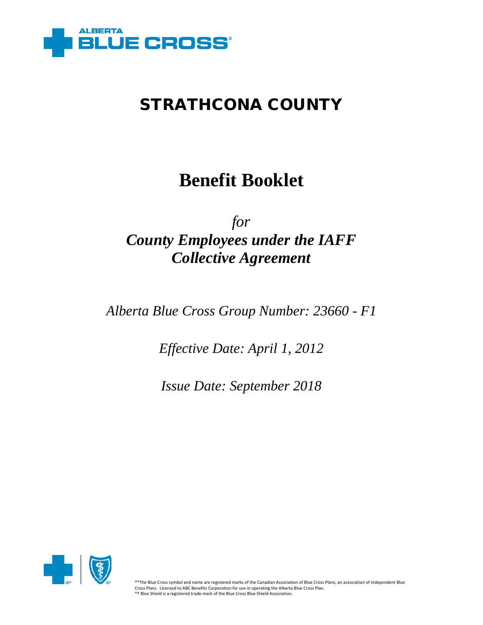

# **Benefit Booklet**

# *for County Employees under the IAFF Collective Agreement*

*Alberta Blue Cross Group Number: 23660 - F1*

*Effective Date: April 1, 2012*

*Issue Date: September 2018*

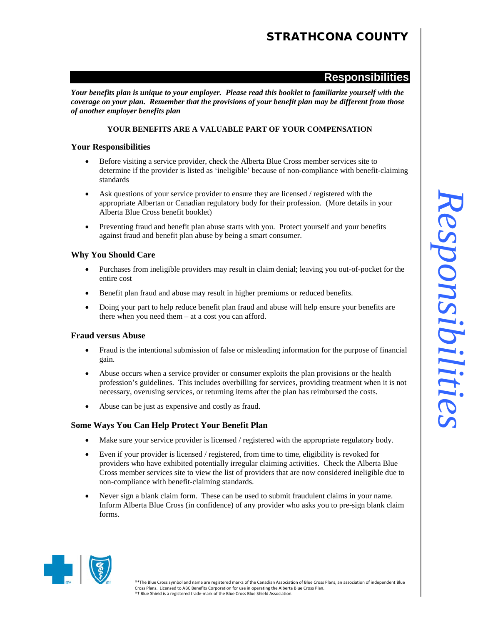### **Responsibilities**

*Your benefits plan is unique to your employer. Please read this booklet to familiarize yourself with the coverage on your plan. Remember that the provisions of your benefit plan may be different from those of another employer benefits plan*

### **YOUR BENEFITS ARE A VALUABLE PART OF YOUR COMPENSATION**

### **Your Responsibilities**

- Before visiting a service provider, check the Alberta Blue Cross member services site to determine if the provider is listed as 'ineligible' because of non-compliance with benefit-claiming standards
- Ask questions of your service provider to ensure they are licensed / registered with the appropriate Albertan or Canadian regulatory body for their profession. (More details in your Alberta Blue Cross benefit booklet)
- Preventing fraud and benefit plan abuse starts with you. Protect yourself and your benefits against fraud and benefit plan abuse by being a smart consumer.

### **Why You Should Care**

- Purchases from ineligible providers may result in claim denial; leaving you out-of-pocket for the entire cost
- Benefit plan fraud and abuse may result in higher premiums or reduced benefits.
- Doing your part to help reduce benefit plan fraud and abuse will help ensure your benefits are there when you need them – at a cost you can afford.

### **Fraud versus Abuse**

- Fraud is the intentional submission of false or misleading information for the purpose of financial gain.
- Abuse occurs when a service provider or consumer exploits the plan provisions or the health profession's guidelines. This includes overbilling for services, providing treatment when it is not necessary, overusing services, or returning items after the plan has reimbursed the costs.
- Abuse can be just as expensive and costly as fraud.

### **Some Ways You Can Help Protect Your Benefit Plan**

- Make sure your service provider is licensed / registered with the appropriate regulatory body.
- Even if your provider is licensed / registered, from time to time, eligibility is revoked for providers who have exhibited potentially irregular claiming activities. Check the Alberta Blue Cross member services site to view the list of providers that are now considered ineligible due to non-compliance with benefit-claiming standards.
- Never sign a blank claim form. These can be used to submit fraudulent claims in your name. Inform Alberta Blue Cross (in confidence) of any provider who asks you to pre-sign blank claim forms.

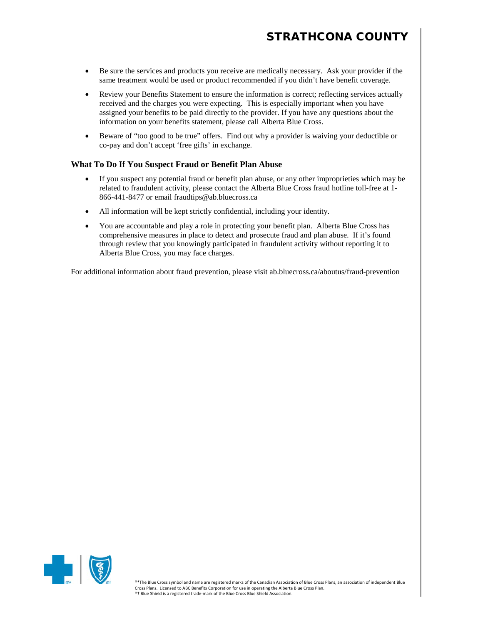- Be sure the services and products you receive are medically necessary. Ask your provider if the same treatment would be used or product recommended if you didn't have benefit coverage.
- Review your Benefits Statement to ensure the information is correct; reflecting services actually received and the charges you were expecting. This is especially important when you have assigned your benefits to be paid directly to the provider. If you have any questions about the information on your benefits statement, please call Alberta Blue Cross.
- Beware of "too good to be true" offers. Find out why a provider is waiving your deductible or co-pay and don't accept 'free gifts' in exchange.

### **What To Do If You Suspect Fraud or Benefit Plan Abuse**

- If you suspect any potential fraud or benefit plan abuse, or any other improprieties which may be related to fraudulent activity, please contact the Alberta Blue Cross fraud hotline toll-free at 1- 866-441-8477 or email fraudtips@ab.bluecross.ca
- All information will be kept strictly confidential, including your identity.
- You are accountable and play a role in protecting your benefit plan. Alberta Blue Cross has comprehensive measures in place to detect and prosecute fraud and plan abuse. If it's found through review that you knowingly participated in fraudulent activity without reporting it to Alberta Blue Cross, you may face charges.

For additional information about fraud prevention, please visit ab.bluecross.ca/aboutus/fraud-prevention

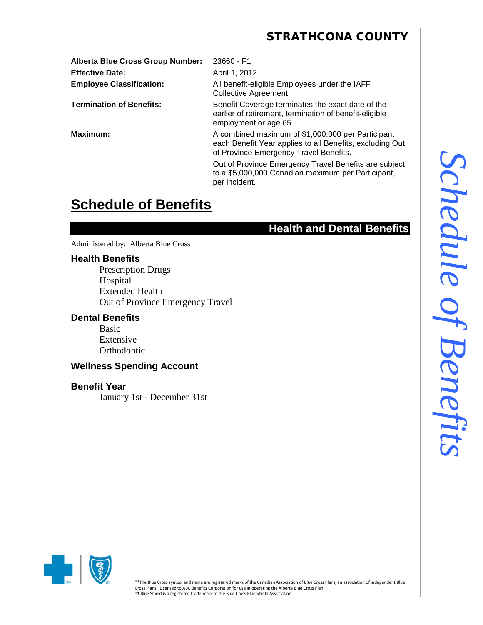**Alberta Blue Cross Group Number:** 23660 - F1 **Effective Date:** April 1, 2012

**Employee Classification:** All benefit-eligible Employees under the IAFF Collective Agreement **Termination of Benefits:** Benefit Coverage terminates the exact date of the

earlier of retirement, termination of benefit-eligible employment or age 65.

**Maximum:** A combined maximum of \$1,000,000 per Participant each Benefit Year applies to all Benefits, excluding Out of Province Emergency Travel Benefits.

> Out of Province Emergency Travel Benefits are subject to a \$5,000,000 Canadian maximum per Participant, per incident.

# **Schedule of Benefits**

### **Health and Dental Benefits**

Administered by: Alberta Blue Cross

### **Health Benefits**

Prescription Drugs Hospital Extended Health Out of Province Emergency Travel

### **Dental Benefits**

Basic Extensive **Orthodontic** 

### **Wellness Spending Account**

### **Benefit Year**

January 1st - December 31st

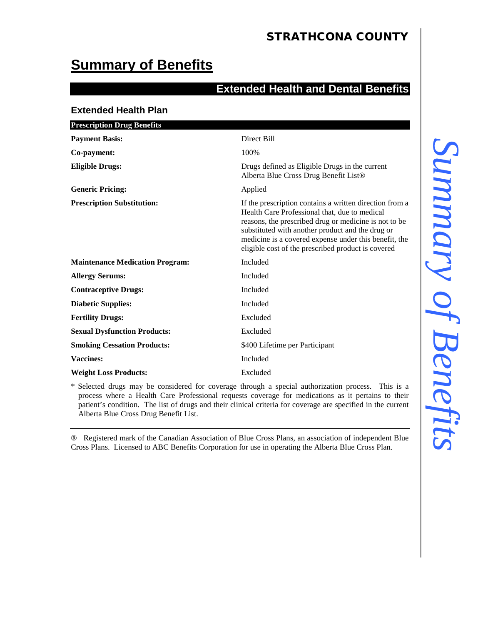# **Summary of Benefits**

### **Extended Health and Dental Benefits**

### **Extended Health Plan**

| <b>Prescription Drug Benefits</b>      |                                                                                                                                                                                                                                                                                                                                      |
|----------------------------------------|--------------------------------------------------------------------------------------------------------------------------------------------------------------------------------------------------------------------------------------------------------------------------------------------------------------------------------------|
| <b>Payment Basis:</b>                  | Direct Bill                                                                                                                                                                                                                                                                                                                          |
| Co-payment:                            | 100%                                                                                                                                                                                                                                                                                                                                 |
| <b>Eligible Drugs:</b>                 | Drugs defined as Eligible Drugs in the current<br>Alberta Blue Cross Drug Benefit List®                                                                                                                                                                                                                                              |
| <b>Generic Pricing:</b>                | Applied                                                                                                                                                                                                                                                                                                                              |
| <b>Prescription Substitution:</b>      | If the prescription contains a written direction from a<br>Health Care Professional that, due to medical<br>reasons, the prescribed drug or medicine is not to be<br>substituted with another product and the drug or<br>medicine is a covered expense under this benefit, the<br>eligible cost of the prescribed product is covered |
| <b>Maintenance Medication Program:</b> | Included                                                                                                                                                                                                                                                                                                                             |
| <b>Allergy Serums:</b>                 | Included                                                                                                                                                                                                                                                                                                                             |
| <b>Contraceptive Drugs:</b>            | Included                                                                                                                                                                                                                                                                                                                             |
| <b>Diabetic Supplies:</b>              | Included                                                                                                                                                                                                                                                                                                                             |
| <b>Fertility Drugs:</b>                | Excluded                                                                                                                                                                                                                                                                                                                             |
| <b>Sexual Dysfunction Products:</b>    | Excluded                                                                                                                                                                                                                                                                                                                             |
| <b>Smoking Cessation Products:</b>     | \$400 Lifetime per Participant                                                                                                                                                                                                                                                                                                       |
| Vaccines:                              | Included                                                                                                                                                                                                                                                                                                                             |
| <b>Weight Loss Products:</b>           | Excluded                                                                                                                                                                                                                                                                                                                             |

\* Selected drugs may be considered for coverage through a special authorization process. This is a process where a Health Care Professional requests coverage for medications as it pertains to their patient's condition. The list of drugs and their clinical criteria for coverage are specified in the current Alberta Blue Cross Drug Benefit List.

® Registered mark of the Canadian Association of Blue Cross Plans, an association of independent Blue Cross Plans. Licensed to ABC Benefits Corporation for use in operating the Alberta Blue Cross Plan.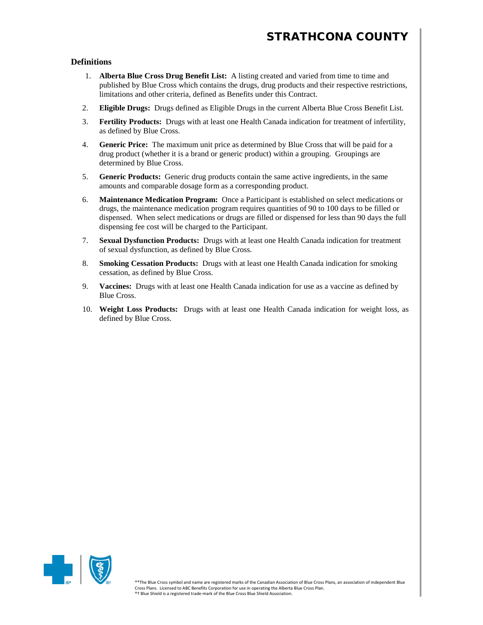#### **Definitions**

- 1. **Alberta Blue Cross Drug Benefit List:** A listing created and varied from time to time and published by Blue Cross which contains the drugs, drug products and their respective restrictions, limitations and other criteria, defined as Benefits under this Contract.
- 2. **Eligible Drugs:** Drugs defined as Eligible Drugs in the current Alberta Blue Cross Benefit List.
- 3. **Fertility Products:** Drugs with at least one Health Canada indication for treatment of infertility, as defined by Blue Cross.
- 4. **Generic Price:** The maximum unit price as determined by Blue Cross that will be paid for a drug product (whether it is a brand or generic product) within a grouping. Groupings are determined by Blue Cross.
- 5. **Generic Products:** Generic drug products contain the same active ingredients, in the same amounts and comparable dosage form as a corresponding product.
- 6. **Maintenance Medication Program:** Once a Participant is established on select medications or drugs, the maintenance medication program requires quantities of 90 to 100 days to be filled or dispensed. When select medications or drugs are filled or dispensed for less than 90 days the full dispensing fee cost will be charged to the Participant.
- 7. **Sexual Dysfunction Products:** Drugs with at least one Health Canada indication for treatment of sexual dysfunction, as defined by Blue Cross.
- 8. **Smoking Cessation Products:** Drugs with at least one Health Canada indication for smoking cessation, as defined by Blue Cross.
- 9. **Vaccines:** Drugs with at least one Health Canada indication for use as a vaccine as defined by Blue Cross.
- 10. **Weight Loss Products:** Drugs with at least one Health Canada indication for weight loss, as defined by Blue Cross.

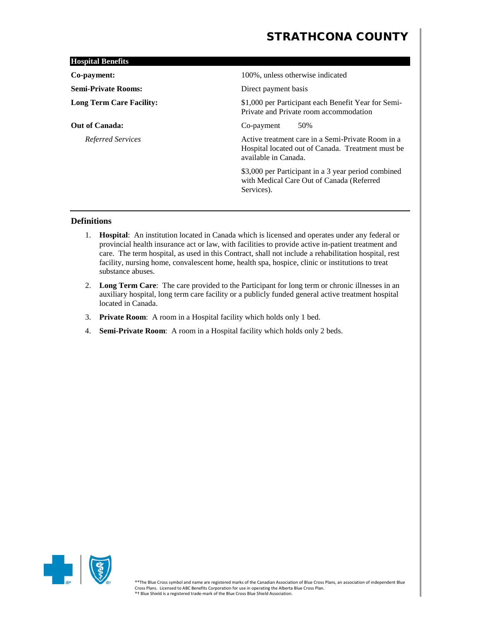| <b>Hospital Benefits</b>        |                                                                                                                                |
|---------------------------------|--------------------------------------------------------------------------------------------------------------------------------|
| Co-payment:                     | 100%, unless otherwise indicated                                                                                               |
| <b>Semi-Private Rooms:</b>      | Direct payment basis                                                                                                           |
| <b>Long Term Care Facility:</b> | \$1,000 per Participant each Benefit Year for Semi-<br>Private and Private room accommodation                                  |
| <b>Out of Canada:</b>           | 50%<br>Co-payment                                                                                                              |
| Referred Services               | Active treatment care in a Semi-Private Room in a<br>Hospital located out of Canada. Treatment must be<br>available in Canada. |
|                                 | \$3,000 per Participant in a 3 year period combined<br>with Medical Care Out of Canada (Referred<br>Services).                 |
|                                 |                                                                                                                                |

### **Definitions**

- 1. **Hospital**: An institution located in Canada which is licensed and operates under any federal or provincial health insurance act or law, with facilities to provide active in-patient treatment and care. The term hospital, as used in this Contract, shall not include a rehabilitation hospital, rest facility, nursing home, convalescent home, health spa, hospice, clinic or institutions to treat substance abuses.
- 2. **Long Term Care**: The care provided to the Participant for long term or chronic illnesses in an auxiliary hospital, long term care facility or a publicly funded general active treatment hospital located in Canada.
- 3. **Private Room**: A room in a Hospital facility which holds only 1 bed.
- 4. **Semi-Private Room**: A room in a Hospital facility which holds only 2 beds.

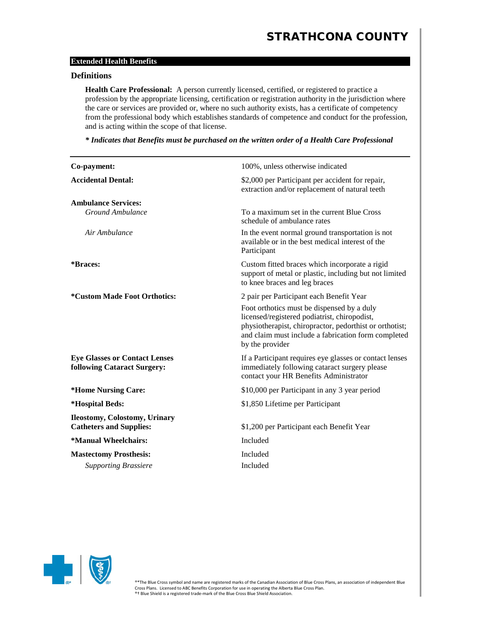### **Extended Health Benefits**

### **Definitions**

**Health Care Professional:** A person currently licensed, certified, or registered to practice a profession by the appropriate licensing, certification or registration authority in the jurisdiction where the care or services are provided or, where no such authority exists, has a certificate of competency from the professional body which establishes standards of competence and conduct for the profession, and is acting within the scope of that license.

*\* Indicates that Benefits must be purchased on the written order of a Health Care Professional*

| Co-payment:                                                         | 100%, unless otherwise indicated                                                                                                                                                                                                |
|---------------------------------------------------------------------|---------------------------------------------------------------------------------------------------------------------------------------------------------------------------------------------------------------------------------|
| <b>Accidental Dental:</b>                                           | \$2,000 per Participant per accident for repair,<br>extraction and/or replacement of natural teeth                                                                                                                              |
| <b>Ambulance Services:</b>                                          |                                                                                                                                                                                                                                 |
| <b>Ground Ambulance</b>                                             | To a maximum set in the current Blue Cross<br>schedule of ambulance rates                                                                                                                                                       |
| Air Ambulance                                                       | In the event normal ground transportation is not<br>available or in the best medical interest of the<br>Participant                                                                                                             |
| *Braces:                                                            | Custom fitted braces which incorporate a rigid<br>support of metal or plastic, including but not limited<br>to knee braces and leg braces                                                                                       |
| *Custom Made Foot Orthotics:                                        | 2 pair per Participant each Benefit Year                                                                                                                                                                                        |
|                                                                     | Foot orthotics must be dispensed by a duly<br>licensed/registered podiatrist, chiropodist,<br>physiotherapist, chiropractor, pedorthist or orthotist;<br>and claim must include a fabrication form completed<br>by the provider |
| <b>Eye Glasses or Contact Lenses</b><br>following Cataract Surgery: | If a Participant requires eye glasses or contact lenses<br>immediately following cataract surgery please<br>contact your HR Benefits Administrator                                                                              |
| *Home Nursing Care:                                                 | \$10,000 per Participant in any 3 year period                                                                                                                                                                                   |
| *Hospital Beds:                                                     | \$1,850 Lifetime per Participant                                                                                                                                                                                                |
| Ileostomy, Colostomy, Urinary<br><b>Catheters and Supplies:</b>     | \$1,200 per Participant each Benefit Year                                                                                                                                                                                       |
| *Manual Wheelchairs:                                                | Included                                                                                                                                                                                                                        |
| <b>Mastectomy Prosthesis:</b>                                       | Included                                                                                                                                                                                                                        |
| <b>Supporting Brassiere</b>                                         | Included                                                                                                                                                                                                                        |

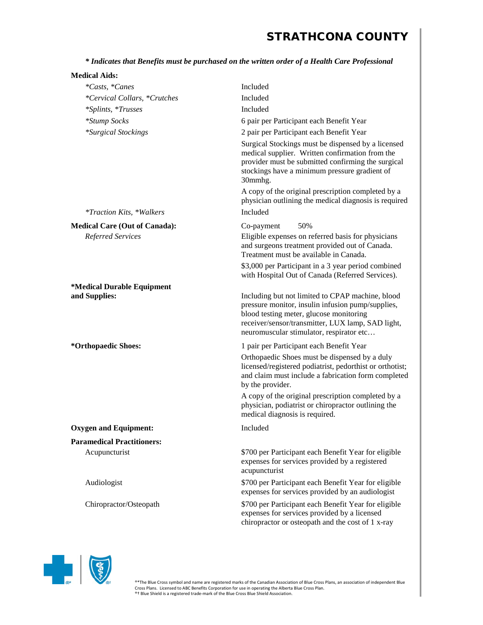*\* Indicates that Benefits must be purchased on the written order of a Health Care Professional*

| <b>Medical Aids:</b>                 |                                                                                                                                                                                                                                                   |
|--------------------------------------|---------------------------------------------------------------------------------------------------------------------------------------------------------------------------------------------------------------------------------------------------|
| *Casts, *Canes                       | Included                                                                                                                                                                                                                                          |
| *Cervical Collars, *Crutches         | Included                                                                                                                                                                                                                                          |
| *Splints, *Trusses                   | Included                                                                                                                                                                                                                                          |
| *Stump Socks                         | 6 pair per Participant each Benefit Year                                                                                                                                                                                                          |
| <i>*Surgical Stockings</i>           | 2 pair per Participant each Benefit Year                                                                                                                                                                                                          |
|                                      | Surgical Stockings must be dispensed by a licensed<br>medical supplier. Written confirmation from the<br>provider must be submitted confirming the surgical<br>stockings have a minimum pressure gradient of<br>30mmhg.                           |
|                                      | A copy of the original prescription completed by a<br>physician outlining the medical diagnosis is required                                                                                                                                       |
| <i>*Traction Kits, *Walkers</i>      | Included                                                                                                                                                                                                                                          |
| <b>Medical Care (Out of Canada):</b> | 50%<br>Co-payment                                                                                                                                                                                                                                 |
| Referred Services                    | Eligible expenses on referred basis for physicians<br>and surgeons treatment provided out of Canada.<br>Treatment must be available in Canada.                                                                                                    |
|                                      | \$3,000 per Participant in a 3 year period combined<br>with Hospital Out of Canada (Referred Services).                                                                                                                                           |
| *Medical Durable Equipment           |                                                                                                                                                                                                                                                   |
| and Supplies:                        | Including but not limited to CPAP machine, blood<br>pressure monitor, insulin infusion pump/supplies,<br>blood testing meter, glucose monitoring<br>receiver/sensor/transmitter, LUX lamp, SAD light,<br>neuromuscular stimulator, respirator etc |
| *Orthopaedic Shoes:                  | 1 pair per Participant each Benefit Year                                                                                                                                                                                                          |
|                                      | Orthopaedic Shoes must be dispensed by a duly<br>licensed/registered podiatrist, pedorthist or orthotist;<br>and claim must include a fabrication form completed<br>by the provider.                                                              |
|                                      | A copy of the original prescription completed by a<br>physician, podiatrist or chiropractor outlining the<br>medical diagnosis is required.                                                                                                       |
| <b>Oxygen and Equipment:</b>         | Included                                                                                                                                                                                                                                          |
| <b>Paramedical Practitioners:</b>    |                                                                                                                                                                                                                                                   |
| Acupuncturist                        | \$700 per Participant each Benefit Year for eligible<br>expenses for services provided by a registered<br>acupuncturist                                                                                                                           |
| Audiologist                          | \$700 per Participant each Benefit Year for eligible<br>expenses for services provided by an audiologist                                                                                                                                          |
| Chiropractor/Osteopath               | \$700 per Participant each Benefit Year for eligible<br>expenses for services provided by a licensed<br>chiropractor or osteopath and the cost of 1 x-ray                                                                                         |

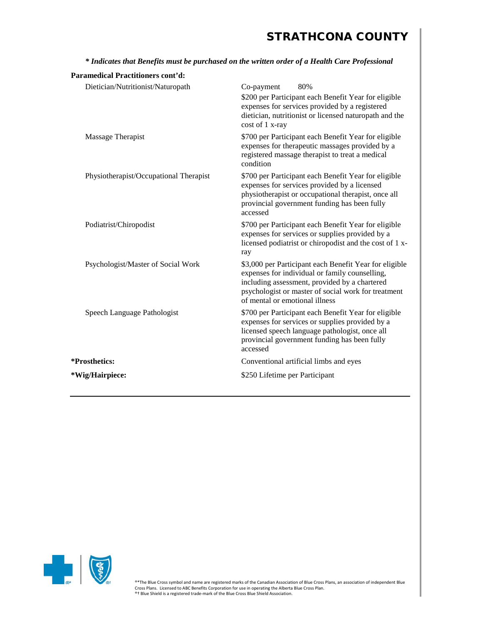| Paramedical Practitioners cont'd:      |                                                                                                                                                                                                                                                    |
|----------------------------------------|----------------------------------------------------------------------------------------------------------------------------------------------------------------------------------------------------------------------------------------------------|
| Dietician/Nutritionist/Naturopath      | 80%<br>Co-payment<br>\$200 per Participant each Benefit Year for eligible<br>expenses for services provided by a registered<br>dietician, nutritionist or licensed naturopath and the<br>cost of 1 x-ray                                           |
| Massage Therapist                      | \$700 per Participant each Benefit Year for eligible<br>expenses for therapeutic massages provided by a<br>registered massage therapist to treat a medical<br>condition                                                                            |
| Physiotherapist/Occupational Therapist | \$700 per Participant each Benefit Year for eligible<br>expenses for services provided by a licensed<br>physiotherapist or occupational therapist, once all<br>provincial government funding has been fully<br>accessed                            |
| Podiatrist/Chiropodist                 | \$700 per Participant each Benefit Year for eligible<br>expenses for services or supplies provided by a<br>licensed podiatrist or chiropodist and the cost of 1 x-<br>ray                                                                          |
| Psychologist/Master of Social Work     | \$3,000 per Participant each Benefit Year for eligible<br>expenses for individual or family counselling,<br>including assessment, provided by a chartered<br>psychologist or master of social work for treatment<br>of mental or emotional illness |
| Speech Language Pathologist            | \$700 per Participant each Benefit Year for eligible<br>expenses for services or supplies provided by a<br>licensed speech language pathologist, once all<br>provincial government funding has been fully<br>accessed                              |
| *Prosthetics:                          | Conventional artificial limbs and eyes                                                                                                                                                                                                             |
| *Wig/Hairpiece:                        | \$250 Lifetime per Participant                                                                                                                                                                                                                     |
|                                        |                                                                                                                                                                                                                                                    |

*\* Indicates that Benefits must be purchased on the written order of a Health Care Professional*

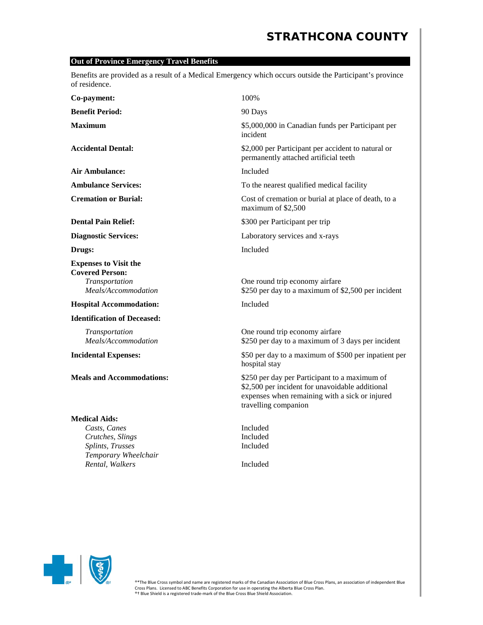### **Out of Province Emergency Travel Benefits**

Benefits are provided as a result of a Medical Emergency which occurs outside the Participant's province of residence.

| Co-payment:                                                                                                             | 100%                                                                                                                                                                       |
|-------------------------------------------------------------------------------------------------------------------------|----------------------------------------------------------------------------------------------------------------------------------------------------------------------------|
| <b>Benefit Period:</b>                                                                                                  | 90 Days                                                                                                                                                                    |
| <b>Maximum</b>                                                                                                          | \$5,000,000 in Canadian funds per Participant per<br>incident                                                                                                              |
| <b>Accidental Dental:</b>                                                                                               | \$2,000 per Participant per accident to natural or<br>permanently attached artificial teeth                                                                                |
| Air Ambulance:                                                                                                          | Included                                                                                                                                                                   |
| <b>Ambulance Services:</b>                                                                                              | To the nearest qualified medical facility                                                                                                                                  |
| <b>Cremation or Burial:</b>                                                                                             | Cost of cremation or burial at place of death, to a<br>maximum of \$2,500                                                                                                  |
| <b>Dental Pain Relief:</b>                                                                                              | \$300 per Participant per trip                                                                                                                                             |
| <b>Diagnostic Services:</b>                                                                                             | Laboratory services and x-rays                                                                                                                                             |
| Drugs:                                                                                                                  | Included                                                                                                                                                                   |
| <b>Expenses to Visit the</b><br><b>Covered Person:</b><br>Transportation<br>Meals/Accommodation                         | One round trip economy airfare<br>\$250 per day to a maximum of \$2,500 per incident                                                                                       |
| <b>Hospital Accommodation:</b>                                                                                          | Included                                                                                                                                                                   |
| <b>Identification of Deceased:</b>                                                                                      |                                                                                                                                                                            |
| Transportation<br>Meals/Accommodation                                                                                   | One round trip economy airfare<br>\$250 per day to a maximum of 3 days per incident                                                                                        |
| <b>Incidental Expenses:</b>                                                                                             | \$50 per day to a maximum of \$500 per inpatient per<br>hospital stay                                                                                                      |
| <b>Meals and Accommodations:</b>                                                                                        | \$250 per day per Participant to a maximum of<br>\$2,500 per incident for unavoidable additional<br>expenses when remaining with a sick or injured<br>travelling companion |
| <b>Medical Aids:</b><br>Casts, Canes<br>Crutches, Slings<br>Splints, Trusses<br>Temporary Wheelchair<br>Rental, Walkers | Included<br>Included<br>Included<br>Included                                                                                                                               |

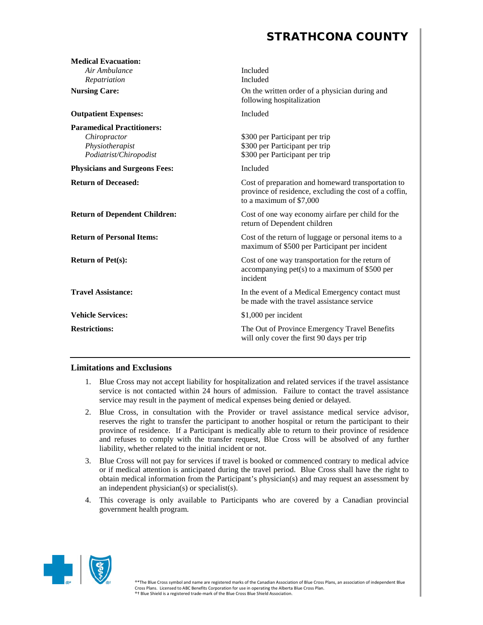| <b>Medical Evacuation:</b>                                                                     |                                                                                                                                         |
|------------------------------------------------------------------------------------------------|-----------------------------------------------------------------------------------------------------------------------------------------|
| Air Ambulance                                                                                  | Included                                                                                                                                |
| Repatriation                                                                                   | Included                                                                                                                                |
| <b>Nursing Care:</b>                                                                           | On the written order of a physician during and<br>following hospitalization                                                             |
| <b>Outpatient Expenses:</b>                                                                    | Included                                                                                                                                |
| <b>Paramedical Practitioners:</b><br>Chiropractor<br>Physiotherapist<br>Podiatrist/Chiropodist | \$300 per Participant per trip<br>\$300 per Participant per trip<br>\$300 per Participant per trip                                      |
| <b>Physicians and Surgeons Fees:</b>                                                           | Included                                                                                                                                |
| <b>Return of Deceased:</b>                                                                     | Cost of preparation and homeward transportation to<br>province of residence, excluding the cost of a coffin,<br>to a maximum of \$7,000 |
| <b>Return of Dependent Children:</b>                                                           | Cost of one way economy airfare per child for the<br>return of Dependent children                                                       |
| <b>Return of Personal Items:</b>                                                               | Cost of the return of luggage or personal items to a<br>maximum of \$500 per Participant per incident                                   |
| <b>Return of Pet(s):</b>                                                                       | Cost of one way transportation for the return of<br>accompanying $pet(s)$ to a maximum of \$500 per<br>incident                         |
| <b>Travel Assistance:</b>                                                                      | In the event of a Medical Emergency contact must<br>be made with the travel assistance service                                          |
| <b>Vehicle Services:</b>                                                                       | \$1,000 per incident                                                                                                                    |
| <b>Restrictions:</b>                                                                           | The Out of Province Emergency Travel Benefits<br>will only cover the first 90 days per trip                                             |

### **Limitations and Exclusions**

- 1. Blue Cross may not accept liability for hospitalization and related services if the travel assistance service is not contacted within 24 hours of admission. Failure to contact the travel assistance service may result in the payment of medical expenses being denied or delayed.
- 2. Blue Cross, in consultation with the Provider or travel assistance medical service advisor, reserves the right to transfer the participant to another hospital or return the participant to their province of residence. If a Participant is medically able to return to their province of residence and refuses to comply with the transfer request, Blue Cross will be absolved of any further liability, whether related to the initial incident or not.
- 3. Blue Cross will not pay for services if travel is booked or commenced contrary to medical advice or if medical attention is anticipated during the travel period. Blue Cross shall have the right to obtain medical information from the Participant's physician(s) and may request an assessment by an independent physician(s) or specialist(s).
- 4. This coverage is only available to Participants who are covered by a Canadian provincial government health program.

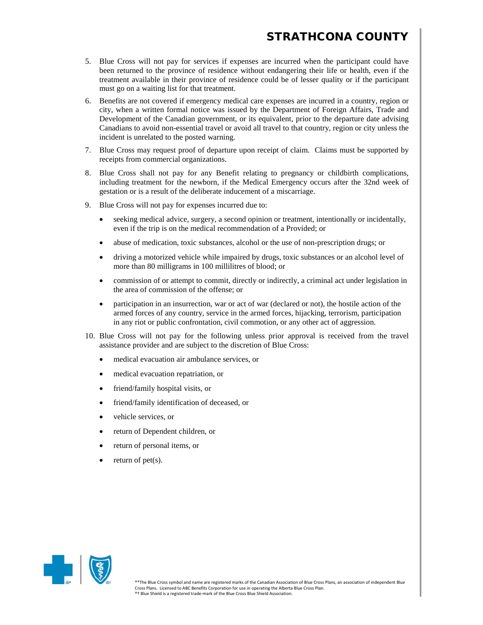- 5. Blue Cross will not pay for services if expenses are incurred when the participant could have been returned to the province of residence without endangering their life or health, even if the treatment available in their province of residence could be of lesser quality or if the participant must go on a waiting list for that treatment.
- 6. Benefits are not covered if emergency medical care expenses are incurred in a country, region or city, when a written formal notice was issued by the Department of Foreign Affairs, Trade and Development of the Canadian government, or its equivalent, prior to the departure date advising Canadians to avoid non-essential travel or avoid all travel to that country, region or city unless the incident is unrelated to the posted warning.
- 7. Blue Cross may request proof of departure upon receipt of claim. Claims must be supported by receipts from commercial organizations.
- 8. Blue Cross shall not pay for any Benefit relating to pregnancy or childbirth complications, including treatment for the newborn, if the Medical Emergency occurs after the 32nd week of gestation or is a result of the deliberate inducement of a miscarriage.
- 9. Blue Cross will not pay for expenses incurred due to:
	- seeking medical advice, surgery, a second opinion or treatment, intentionally or incidentally, even if the trip is on the medical recommendation of a Provided; or
	- abuse of medication, toxic substances, alcohol or the use of non-prescription drugs; or
	- driving a motorized vehicle while impaired by drugs, toxic substances or an alcohol level of more than 80 milligrams in 100 millilitres of blood; or
	- commission of or attempt to commit, directly or indirectly, a criminal act under legislation in the area of commission of the offense; or
	- participation in an insurrection, war or act of war (declared or not), the hostile action of the armed forces of any country, service in the armed forces, hijacking, terrorism, participation in any riot or public confrontation, civil commotion, or any other act of aggression.
- 10. Blue Cross will not pay for the following unless prior approval is received from the travel assistance provider and are subject to the discretion of Blue Cross:
	- medical evacuation air ambulance services, or
	- medical evacuation repatriation, or
	- friend/family hospital visits, or
	- friend/family identification of deceased, or
	- vehicle services, or
	- return of Dependent children, or
	- return of personal items, or
	- return of  $pet(s)$ .

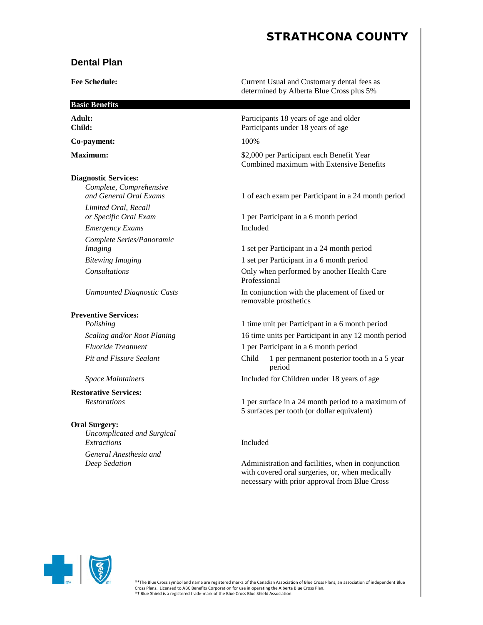### **Dental Plan**

determined by Alberta Blue Cross plus 5% **Basic Benefits** Adult: **Participants 18 years of age and older** Participants 18 years of age and older **Child:** Participants under 18 years of age **Co-payment:** 100% **Maximum:**  $$2,000$  per Participant each Benefit Year **Diagnostic Services:** *Complete, Comprehensive and General Oral Exams* 1 of each exam per Participant in a 24 month period *Limited Oral, Recall or Specific Oral Exam* 1 per Participant in a 6 month period *Emergency Exams* Included

*Complete Series/Panoramic*

#### **Preventive Services:**

**Restorative Services:**

#### **Oral Surgery:**

*Uncomplicated and Surgical Extractions* Included *General Anesthesia and*

**Fee Schedule:** Current Usual and Customary dental fees as

Combined maximum with Extensive Benefits

*Imaging* 1 set per Participant in a 24 month period *Bitewing Imaging* 1 set per Participant in a 6 month period *Consultations* Only when performed by another Health Care Professional *Unmounted Diagnostic Casts* **In conjunction with the placement of fixed or** 

removable prosthetics

*Polishing* 1 time unit per Participant in a 6 month period *Scaling and/or Root Planing* 16 time units per Participant in any 12 month period *Fluoride Treatment* 1 per Participant in a 6 month period *Pit and Fissure Sealant* Child 1 per permanent posterior tooth in a 5 year period *Space Maintainers* Included for Children under 18 years of age

*Restorations* 1 per surface in a 24 month period to a maximum of 5 surfaces per tooth (or dollar equivalent)

*Deep Sedation* **Administration and facilities, when in conjunction** with covered oral surgeries, or, when medically necessary with prior approval from Blue Cross

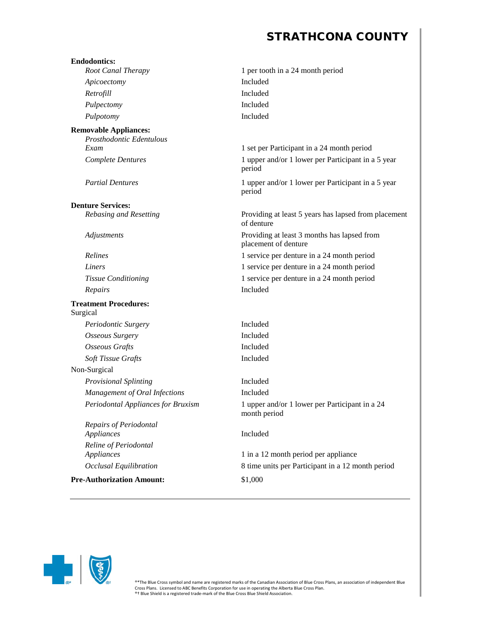| <b>Endodontics:</b><br>Root Canal Therapy                | 1 per tooth in a 24 month period                                    |
|----------------------------------------------------------|---------------------------------------------------------------------|
| Apicoectomy                                              | Included                                                            |
| Retrofill                                                | Included                                                            |
| Pulpectomy                                               | Included                                                            |
| Pulpotomy                                                | Included                                                            |
|                                                          |                                                                     |
| <b>Removable Appliances:</b><br>Prosthodontic Edentulous |                                                                     |
| Exam                                                     | 1 set per Participant in a 24 month period                          |
| <b>Complete Dentures</b>                                 | 1 upper and/or 1 lower per Participant in a 5 year<br>period        |
| <b>Partial Dentures</b>                                  | 1 upper and/or 1 lower per Participant in a 5 year<br>period        |
| <b>Denture Services:</b>                                 |                                                                     |
| Rebasing and Resetting                                   | Providing at least 5 years has lapsed from placement<br>of denture  |
| Adjustments                                              | Providing at least 3 months has lapsed from<br>placement of denture |
| Relines                                                  | 1 service per denture in a 24 month period                          |
| Liners                                                   | 1 service per denture in a 24 month period                          |
| Tissue Conditioning                                      | 1 service per denture in a 24 month period                          |
| Repairs                                                  | Included                                                            |
| <b>Treatment Procedures:</b><br>Surgical                 |                                                                     |
| Periodontic Surgery                                      | Included                                                            |
| <b>Osseous Surgery</b>                                   | Included                                                            |
| <b>Osseous Grafts</b>                                    | Included                                                            |
| Soft Tissue Grafts                                       | Included                                                            |
| Non-Surgical                                             |                                                                     |
| <b>Provisional Splinting</b>                             | Included                                                            |
| Management of Oral Infections                            | Included                                                            |
| Periodontal Appliances for Bruxism                       | 1 upper and/or 1 lower per Participant in a 24<br>month period      |
| Repairs of Periodontal<br>Appliances                     | Included                                                            |
| Reline of Periodontal<br>Appliances                      | 1 in a 12 month period per appliance                                |
| <b>Occlusal Equilibration</b>                            | 8 time units per Participant in a 12 month period                   |
| <b>Pre-Authorization Amount:</b>                         | \$1,000                                                             |

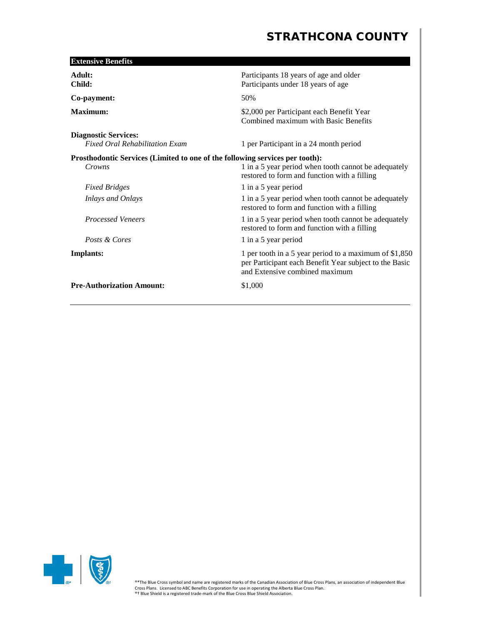| <b>Extensive Benefits</b>                                                              |                                                                                                                                                     |
|----------------------------------------------------------------------------------------|-----------------------------------------------------------------------------------------------------------------------------------------------------|
| Adult:<br>Child:                                                                       | Participants 18 years of age and older<br>Participants under 18 years of age                                                                        |
| Co-payment:                                                                            | 50%                                                                                                                                                 |
| Maximum:                                                                               | \$2,000 per Participant each Benefit Year<br>Combined maximum with Basic Benefits                                                                   |
| <b>Diagnostic Services:</b><br><b>Fixed Oral Rehabilitation Exam</b>                   | 1 per Participant in a 24 month period                                                                                                              |
| Prosthodontic Services (Limited to one of the following services per tooth):<br>Crowns | 1 in a 5 year period when tooth cannot be adequately<br>restored to form and function with a filling                                                |
| <b>Fixed Bridges</b>                                                                   | 1 in a 5 year period                                                                                                                                |
| <b>Inlays and Onlays</b>                                                               | 1 in a 5 year period when tooth cannot be adequately<br>restored to form and function with a filling                                                |
| <b>Processed Veneers</b>                                                               | 1 in a 5 year period when tooth cannot be adequately<br>restored to form and function with a filling                                                |
| Posts & Cores                                                                          | 1 in a 5 year period                                                                                                                                |
| Implants:                                                                              | 1 per tooth in a 5 year period to a maximum of $$1,850$<br>per Participant each Benefit Year subject to the Basic<br>and Extensive combined maximum |
| <b>Pre-Authorization Amount:</b>                                                       | \$1,000                                                                                                                                             |

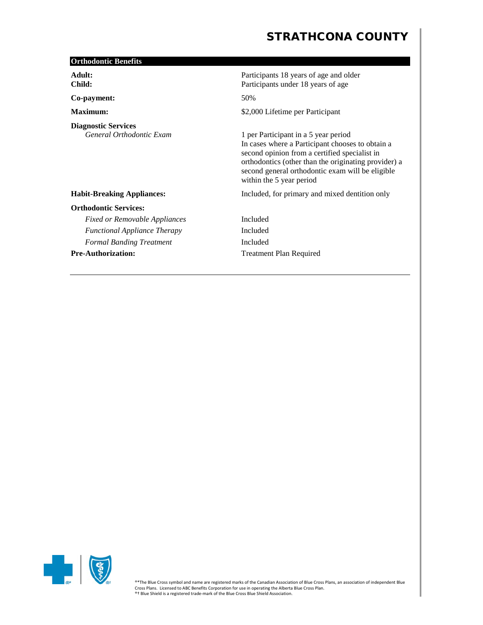| <b>Orthodontic Benefits</b>                            |                                                                                                                                                                                                                                                                                   |
|--------------------------------------------------------|-----------------------------------------------------------------------------------------------------------------------------------------------------------------------------------------------------------------------------------------------------------------------------------|
| Adult:<br>Child:                                       | Participants 18 years of age and older<br>Participants under 18 years of age                                                                                                                                                                                                      |
| Co-payment:                                            | 50%                                                                                                                                                                                                                                                                               |
| Maximum:                                               | \$2,000 Lifetime per Participant                                                                                                                                                                                                                                                  |
| <b>Diagnostic Services</b><br>General Orthodontic Exam | 1 per Participant in a 5 year period<br>In cases where a Participant chooses to obtain a<br>second opinion from a certified specialist in<br>orthodontics (other than the originating provider) a<br>second general orthodontic exam will be eligible<br>within the 5 year period |
| <b>Habit-Breaking Appliances:</b>                      | Included, for primary and mixed dentition only                                                                                                                                                                                                                                    |
| <b>Orthodontic Services:</b>                           |                                                                                                                                                                                                                                                                                   |
| <b>Fixed or Removable Appliances</b>                   | Included                                                                                                                                                                                                                                                                          |
| <b>Functional Appliance Therapy</b>                    | Included                                                                                                                                                                                                                                                                          |
| <b>Formal Banding Treatment</b>                        | Included                                                                                                                                                                                                                                                                          |
| <b>Pre-Authorization:</b>                              | <b>Treatment Plan Required</b>                                                                                                                                                                                                                                                    |

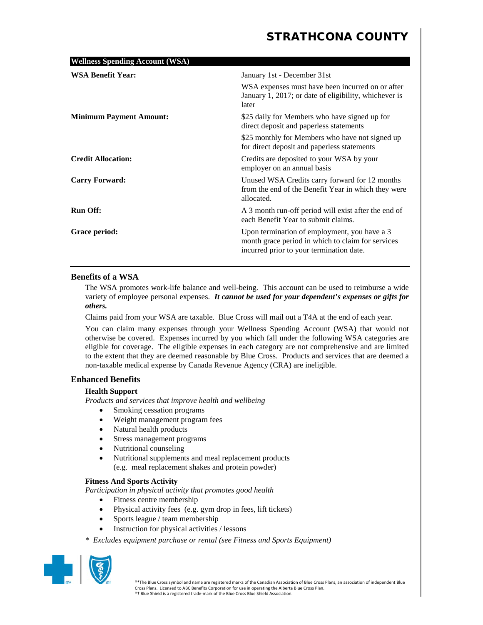| <b>Wellness Spending Account (WSA)</b> |                                                                                                                                                   |
|----------------------------------------|---------------------------------------------------------------------------------------------------------------------------------------------------|
| <b>WSA Benefit Year:</b>               | January 1st - December 31st<br>WSA expenses must have been incurred on or after<br>January 1, 2017; or date of eligibility, whichever is<br>later |
| <b>Minimum Payment Amount:</b>         | \$25 daily for Members who have signed up for<br>direct deposit and paperless statements                                                          |
|                                        | \$25 monthly for Members who have not signed up<br>for direct deposit and paperless statements                                                    |
| <b>Credit Allocation:</b>              | Credits are deposited to your WSA by your<br>employer on an annual basis                                                                          |
| <b>Carry Forward:</b>                  | Unused WSA Credits carry forward for 12 months<br>from the end of the Benefit Year in which they were<br>allocated.                               |
| <b>Run Off:</b>                        | A 3 month run-off period will exist after the end of<br>each Benefit Year to submit claims.                                                       |
| Grace period:                          | Upon termination of employment, you have a 3<br>month grace period in which to claim for services<br>incurred prior to your termination date.     |

### **Benefits of a WSA**

The WSA promotes work-life balance and well-being. This account can be used to reimburse a wide variety of employee personal expenses. *It cannot be used for your dependent's expenses or gifts for others.*

Claims paid from your WSA are taxable. Blue Cross will mail out a T4A at the end of each year.

You can claim many expenses through your Wellness Spending Account (WSA) that would not otherwise be covered. Expenses incurred by you which fall under the following WSA categories are eligible for coverage. The eligible expenses in each category are not comprehensive and are limited to the extent that they are deemed reasonable by Blue Cross. Products and services that are deemed a non-taxable medical expense by Canada Revenue Agency (CRA) are ineligible.

### **Enhanced Benefits**

### **Health Support**

*Products and services that improve health and wellbeing*

- Smoking cessation programs
- Weight management program fees
- Natural health products
- Stress management programs
- Nutritional counseling
- Nutritional supplements and meal replacement products (e.g. meal replacement shakes and protein powder)

### **Fitness And Sports Activity**

*Participation in physical activity that promotes good health*

- Fitness centre membership
- Physical activity fees (e.g. gym drop in fees, lift tickets)
- Sports league / team membership
- Instruction for physical activities / lessons
- *\* Excludes equipment purchase or rental (see Fitness and Sports Equipment)*

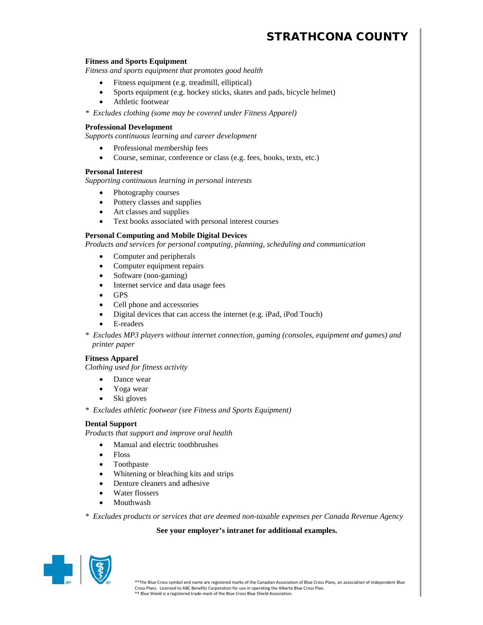#### **Fitness and Sports Equipment**

*Fitness and sports equipment that promotes good health*

- Fitness equipment (e.g. treadmill, elliptical)
- Sports equipment (e.g. hockey sticks, skates and pads, bicycle helmet)
- Athletic footwear

*\* Excludes clothing (some may be covered under Fitness Apparel)*

#### **Professional Development**

*Supports continuous learning and career development*

- Professional membership fees
- Course, seminar, conference or class (e.g. fees, books, texts, etc.)

#### **Personal Interest**

*Supporting continuous learning in personal interests*

- Photography courses
- Pottery classes and supplies
- Art classes and supplies
- Text books associated with personal interest courses

#### **Personal Computing and Mobile Digital Devices**

*Products and services for personal computing, planning, scheduling and communication*

- Computer and peripherals
- Computer equipment repairs
- Software (non-gaming)
- Internet service and data usage fees
- GPS
- Cell phone and accessories
- Digital devices that can access the internet (e.g. iPad, iPod Touch)
- E-readers
- *\* Excludes MP3 players without internet connection, gaming (consoles, equipment and games) and printer paper*

### **Fitness Apparel**

*Clothing used for fitness activity*

- Dance wear
- Yoga wear
- Ski gloves

*\* Excludes athletic footwear (see Fitness and Sports Equipment)*

#### **Dental Support**

*Products that support and improve oral health*

- Manual and electric toothbrushes
- Floss
- Toothpaste
- Whitening or bleaching kits and strips
- Denture cleaners and adhesive
- Water flossers
- Mouthwash

*\* Excludes products or services that are deemed non-taxable expenses per Canada Revenue Agency*

### **See your employer's intranet for additional examples.**

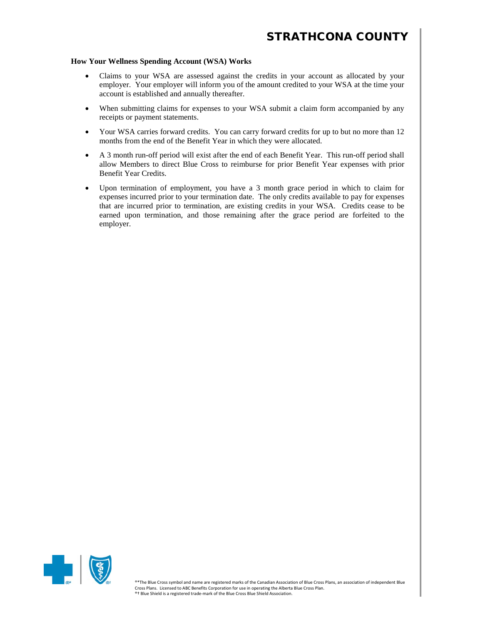### **How Your Wellness Spending Account (WSA) Works**

- Claims to your WSA are assessed against the credits in your account as allocated by your employer. Your employer will inform you of the amount credited to your WSA at the time your account is established and annually thereafter.
- When submitting claims for expenses to your WSA submit a claim form accompanied by any receipts or payment statements.
- Your WSA carries forward credits. You can carry forward credits for up to but no more than 12 months from the end of the Benefit Year in which they were allocated.
- A 3 month run-off period will exist after the end of each Benefit Year. This run-off period shall allow Members to direct Blue Cross to reimburse for prior Benefit Year expenses with prior Benefit Year Credits.
- Upon termination of employment, you have a 3 month grace period in which to claim for expenses incurred prior to your termination date. The only credits available to pay for expenses that are incurred prior to termination, are existing credits in your WSA. Credits cease to be earned upon termination, and those remaining after the grace period are forfeited to the employer.

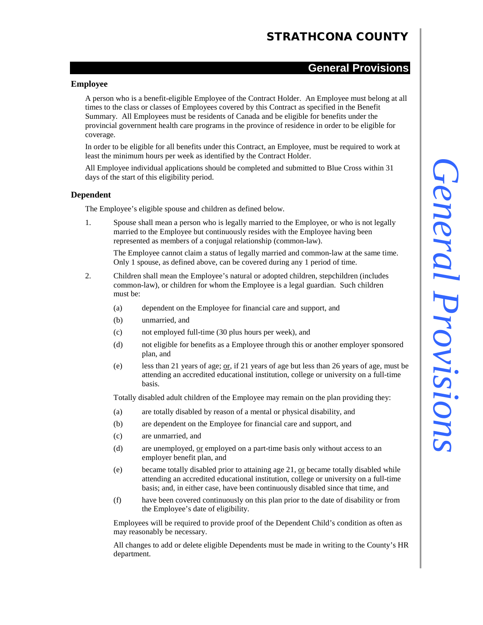### **General Provisions**

### **Employee**

A person who is a benefit-eligible Employee of the Contract Holder. An Employee must belong at all times to the class or classes of Employees covered by this Contract as specified in the Benefit Summary. All Employees must be residents of Canada and be eligible for benefits under the provincial government health care programs in the province of residence in order to be eligible for coverage.

In order to be eligible for all benefits under this Contract, an Employee, must be required to work at least the minimum hours per week as identified by the Contract Holder.

All Employee individual applications should be completed and submitted to Blue Cross within 31 days of the start of this eligibility period.

### **Dependent**

The Employee's eligible spouse and children as defined below.

1. Spouse shall mean a person who is legally married to the Employee, or who is not legally married to the Employee but continuously resides with the Employee having been represented as members of a conjugal relationship (common-law).

The Employee cannot claim a status of legally married and common-law at the same time. Only 1 spouse, as defined above, can be covered during any 1 period of time.

- 2. Children shall mean the Employee's natural or adopted children, stepchildren (includes common-law), or children for whom the Employee is a legal guardian. Such children must be:
	- (a) dependent on the Employee for financial care and support, and
	- (b) unmarried, and
	- (c) not employed full-time (30 plus hours per week), and
	- (d) not eligible for benefits as a Employee through this or another employer sponsored plan, and
	- (e) less than 21 years of age; or, if 21 years of age but less than 26 years of age, must be attending an accredited educational institution, college or university on a full-time basis.

Totally disabled adult children of the Employee may remain on the plan providing they:

- (a) are totally disabled by reason of a mental or physical disability, and
- (b) are dependent on the Employee for financial care and support, and
- (c) are unmarried, and
- (d) are unemployed, or employed on a part-time basis only without access to an employer benefit plan, and
- (e) became totally disabled prior to attaining age 21, or became totally disabled while attending an accredited educational institution, college or university on a full-time basis; and, in either case, have been continuously disabled since that time, and
- (f) have been covered continuously on this plan prior to the date of disability or from the Employee's date of eligibility.

Employees will be required to provide proof of the Dependent Child's condition as often as may reasonably be necessary.

All changes to add or delete eligible Dependents must be made in writing to the County's HR department.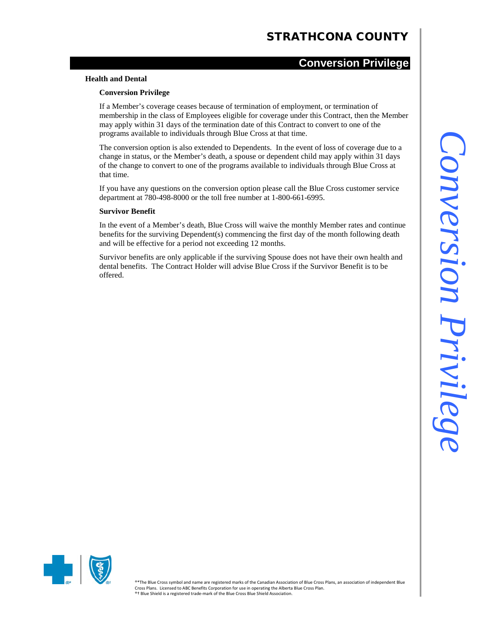### **Conversion Privilege**

#### **Health and Dental**

### **Conversion Privilege**

If a Member's coverage ceases because of termination of employment, or termination of membership in the class of Employees eligible for coverage under this Contract, then the Member may apply within 31 days of the termination date of this Contract to convert to one of the programs available to individuals through Blue Cross at that time.

The conversion option is also extended to Dependents. In the event of loss of coverage due to a change in status, or the Member's death, a spouse or dependent child may apply within 31 days of the change to convert to one of the programs available to individuals through Blue Cross at that time.

If you have any questions on the conversion option please call the Blue Cross customer service department at 780-498-8000 or the toll free number at 1-800-661-6995.

#### **Survivor Benefit**

In the event of a Member's death, Blue Cross will waive the monthly Member rates and continue benefits for the surviving Dependent(s) commencing the first day of the month following death and will be effective for a period not exceeding 12 months.

Survivor benefits are only applicable if the surviving Spouse does not have their own health and dental benefits. The Contract Holder will advise Blue Cross if the Survivor Benefit is to be offered.

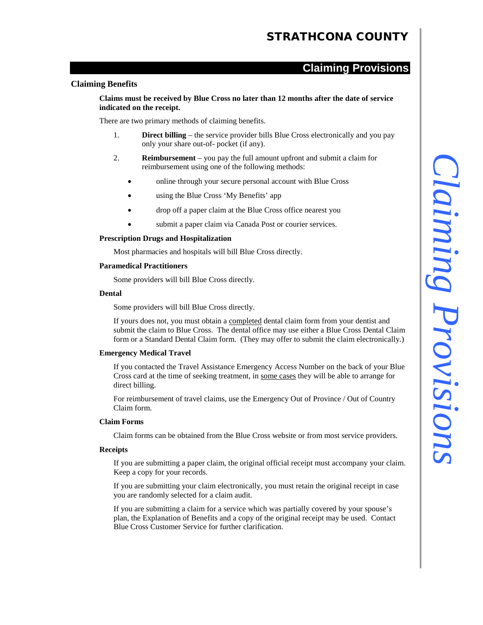### **Claiming Provisions**

#### **Claiming Benefits**

**Claims must be received by Blue Cross no later than 12 months after the date of service indicated on the receipt.**

There are two primary methods of claiming benefits.

- 1. **Direct billing** the service provider bills Blue Cross electronically and you pay only your share out-of- pocket (if any).
- 2. **Reimbursement** you pay the full amount upfront and submit a claim for reimbursement using one of the following methods:
	- online through your secure personal account with Blue Cross
	- using the Blue Cross 'My Benefits' app
	- drop off a paper claim at the Blue Cross office nearest you
	- submit a paper claim via Canada Post or courier services.

#### **Prescription Drugs and Hospitalization**

Most pharmacies and hospitals will bill Blue Cross directly.

#### **Paramedical Practitioners**

Some providers will bill Blue Cross directly.

#### **Dental**

Some providers will bill Blue Cross directly.

If yours does not, you must obtain a completed dental claim form from your dentist and submit the claim to Blue Cross. The dental office may use either a Blue Cross Dental Claim form or a Standard Dental Claim form. (They may offer to submit the claim electronically.)

#### **Emergency Medical Travel**

If you contacted the Travel Assistance Emergency Access Number on the back of your Blue Cross card at the time of seeking treatment, in some cases they will be able to arrange for direct billing.

For reimbursement of travel claims, use the Emergency Out of Province / Out of Country Claim form.

### **Claim Forms**

Claim forms can be obtained from the Blue Cross website or from most service providers.

#### **Receipts**

If you are submitting a paper claim, the original official receipt must accompany your claim. Keep a copy for your records.

If you are submitting your claim electronically, you must retain the original receipt in case you are randomly selected for a claim audit.

If you are submitting a claim for a service which was partially covered by your spouse's plan, the Explanation of Benefits and a copy of the original receipt may be used. Contact Blue Cross Customer Service for further clarification.